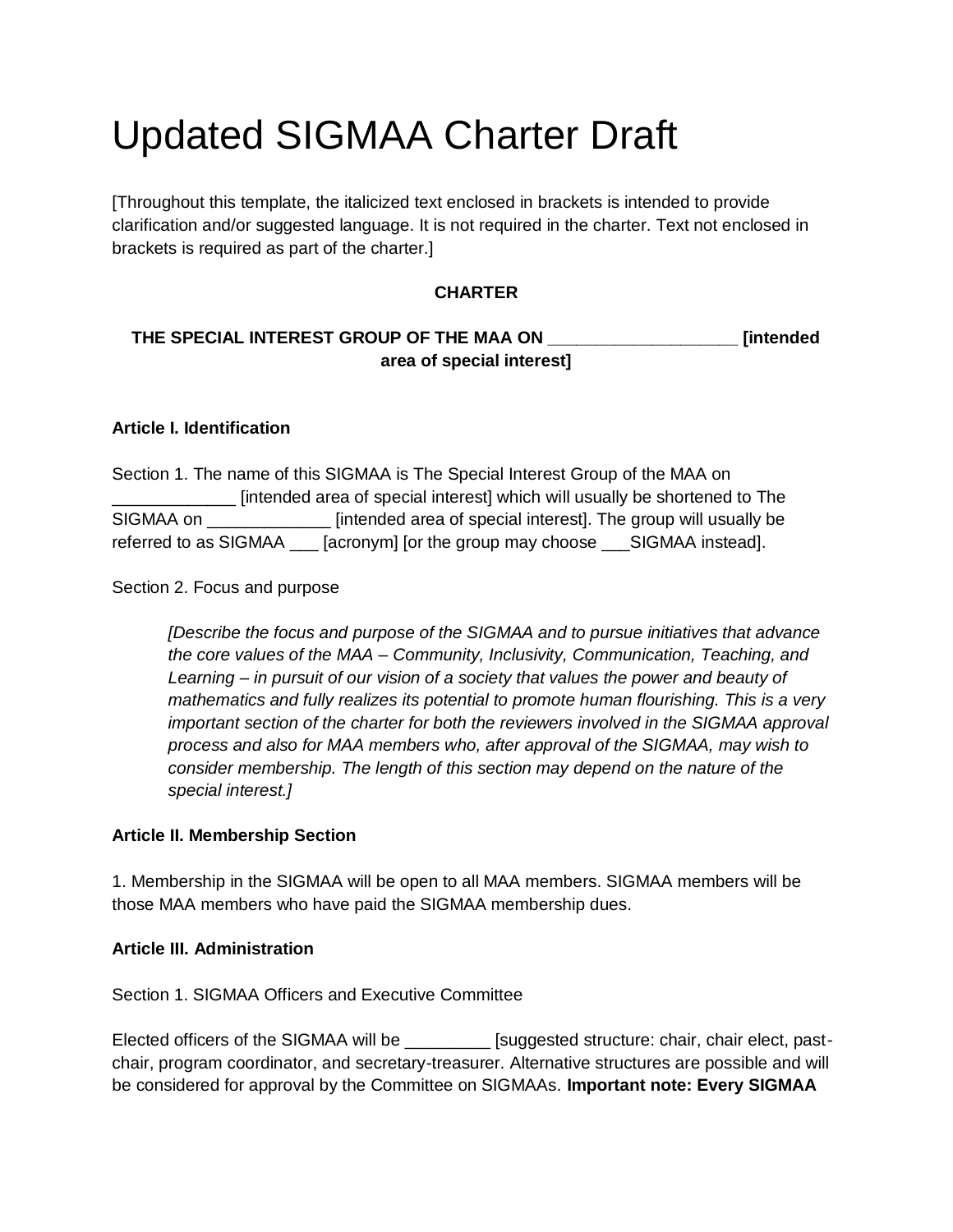# Updated SIGMAA Charter Draft

[Throughout this template, the italicized text enclosed in brackets is intended to provide clarification and/or suggested language. It is not required in the charter. Text not enclosed in brackets is required as part of the charter.]

# **CHARTER**

# **THE SPECIAL INTEREST GROUP OF THE MAA ON \_\_\_\_\_\_\_\_\_\_\_\_\_\_\_\_\_\_\_\_ [intended area of special interest]**

## **Article I. Identification**

Section 1. The name of this SIGMAA is The Special Interest Group of the MAA on \_\_\_\_\_\_\_\_\_\_\_\_\_ [intended area of special interest] which will usually be shortened to The SIGMAA on \_\_\_\_\_\_\_\_\_\_\_\_\_ [intended area of special interest]. The group will usually be referred to as SIGMAA [acronym] [or the group may choose SIGMAA instead].

Section 2. Focus and purpose

*[Describe the focus and purpose of the SIGMAA and to pursue initiatives that advance the core values of the MAA – Community, Inclusivity, Communication, Teaching, and Learning – in pursuit of our vision of a society that values the power and beauty of mathematics and fully realizes its potential to promote human flourishing. This is a very important section of the charter for both the reviewers involved in the SIGMAA approval process and also for MAA members who, after approval of the SIGMAA, may wish to consider membership. The length of this section may depend on the nature of the special interest.]* 

#### **Article II. Membership Section**

1. Membership in the SIGMAA will be open to all MAA members. SIGMAA members will be those MAA members who have paid the SIGMAA membership dues.

#### **Article III. Administration**

Section 1. SIGMAA Officers and Executive Committee

Elected officers of the SIGMAA will be \_\_\_\_\_\_\_\_\_ [suggested structure: chair, chair elect, pastchair, program coordinator, and secretary-treasurer. Alternative structures are possible and will be considered for approval by the Committee on SIGMAAs. **Important note: Every SIGMAA**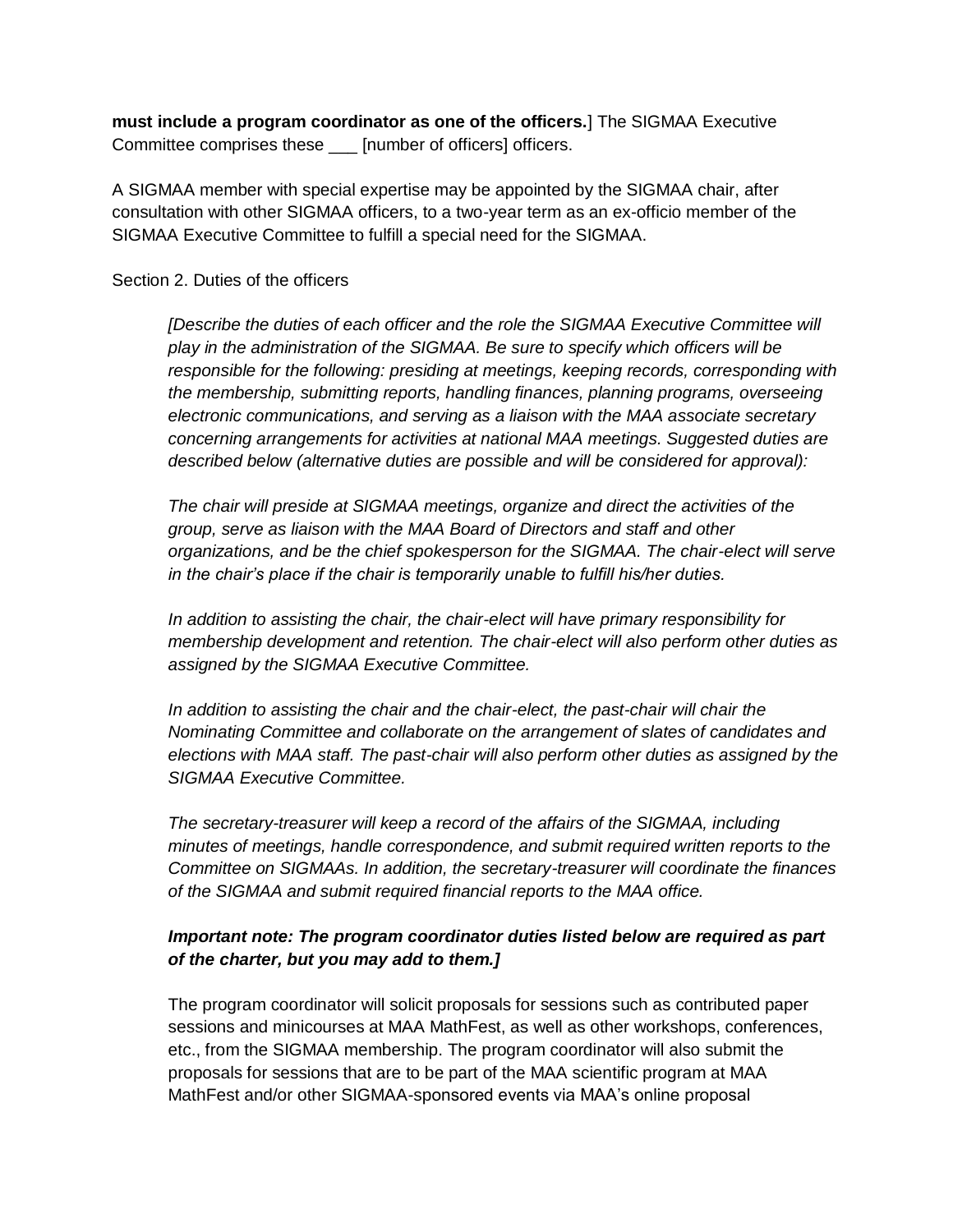**must include a program coordinator as one of the officers.**] The SIGMAA Executive Committee comprises these \_\_\_ [number of officers] officers.

A SIGMAA member with special expertise may be appointed by the SIGMAA chair, after consultation with other SIGMAA officers, to a two-year term as an ex-officio member of the SIGMAA Executive Committee to fulfill a special need for the SIGMAA.

#### Section 2. Duties of the officers

*[Describe the duties of each officer and the role the SIGMAA Executive Committee will play in the administration of the SIGMAA. Be sure to specify which officers will be responsible for the following: presiding at meetings, keeping records, corresponding with the membership, submitting reports, handling finances, planning programs, overseeing electronic communications, and serving as a liaison with the MAA associate secretary concerning arrangements for activities at national MAA meetings. Suggested duties are described below (alternative duties are possible and will be considered for approval):* 

*The chair will preside at SIGMAA meetings, organize and direct the activities of the group, serve as liaison with the MAA Board of Directors and staff and other organizations, and be the chief spokesperson for the SIGMAA. The chair-elect will serve in the chair's place if the chair is temporarily unable to fulfill his/her duties.* 

*In addition to assisting the chair, the chair-elect will have primary responsibility for membership development and retention. The chair-elect will also perform other duties as assigned by the SIGMAA Executive Committee.* 

*In addition to assisting the chair and the chair-elect, the past-chair will chair the Nominating Committee and collaborate on the arrangement of slates of candidates and elections with MAA staff. The past-chair will also perform other duties as assigned by the SIGMAA Executive Committee.* 

*The secretary-treasurer will keep a record of the affairs of the SIGMAA, including minutes of meetings, handle correspondence, and submit required written reports to the Committee on SIGMAAs. In addition, the secretary-treasurer will coordinate the finances of the SIGMAA and submit required financial reports to the MAA office.* 

## *Important note: The program coordinator duties listed below are required as part of the charter, but you may add to them.]*

The program coordinator will solicit proposals for sessions such as contributed paper sessions and minicourses at MAA MathFest, as well as other workshops, conferences, etc., from the SIGMAA membership. The program coordinator will also submit the proposals for sessions that are to be part of the MAA scientific program at MAA MathFest and/or other SIGMAA-sponsored events via MAA's online proposal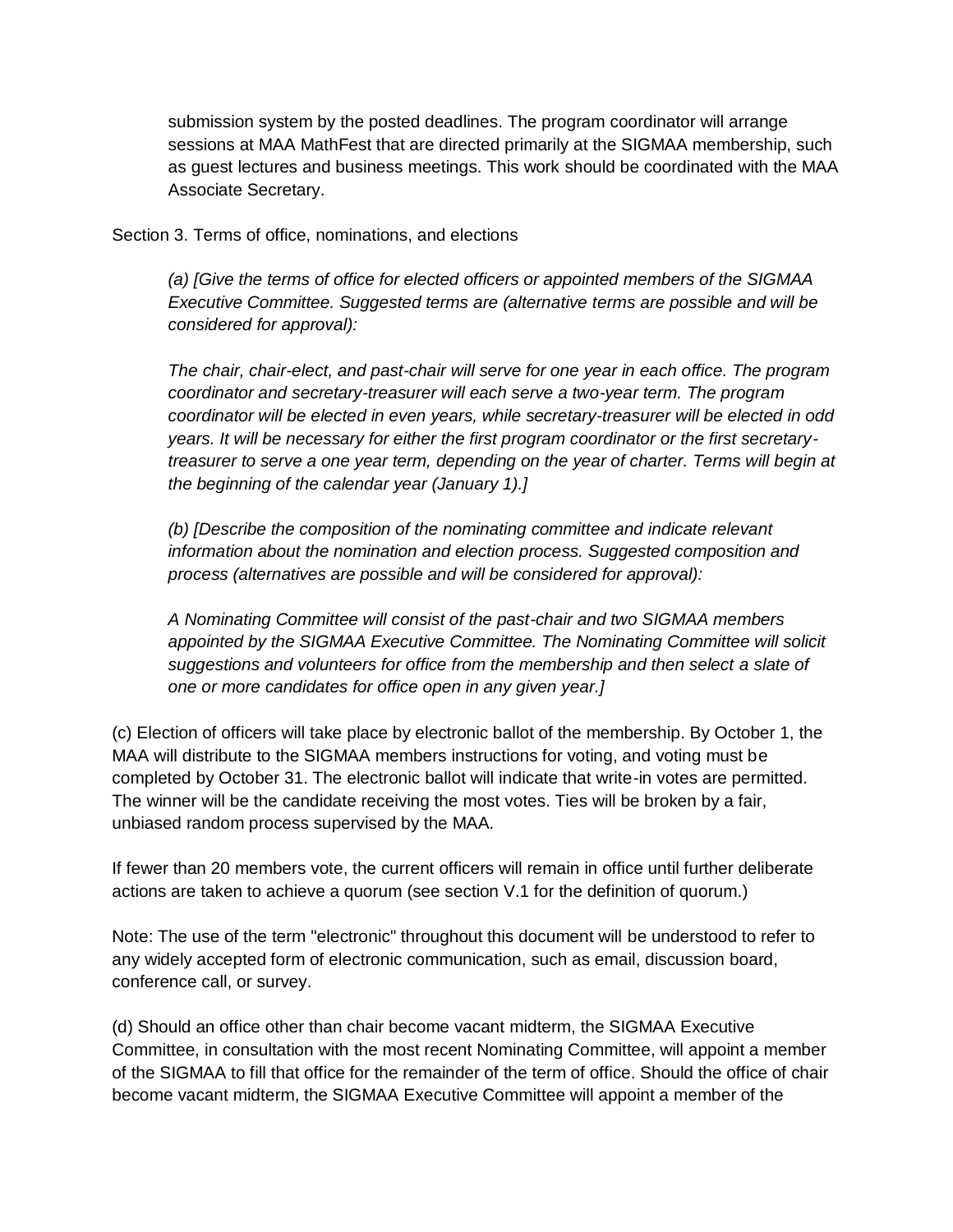submission system by the posted deadlines. The program coordinator will arrange sessions at MAA MathFest that are directed primarily at the SIGMAA membership, such as guest lectures and business meetings. This work should be coordinated with the MAA Associate Secretary.

Section 3. Terms of office, nominations, and elections

*(a) [Give the terms of office for elected officers or appointed members of the SIGMAA Executive Committee. Suggested terms are (alternative terms are possible and will be considered for approval):* 

*The chair, chair-elect, and past-chair will serve for one year in each office. The program coordinator and secretary-treasurer will each serve a two-year term. The program coordinator will be elected in even years, while secretary-treasurer will be elected in odd years. It will be necessary for either the first program coordinator or the first secretarytreasurer to serve a one year term, depending on the year of charter. Terms will begin at the beginning of the calendar year (January 1).]* 

*(b) [Describe the composition of the nominating committee and indicate relevant information about the nomination and election process. Suggested composition and process (alternatives are possible and will be considered for approval):* 

*A Nominating Committee will consist of the past-chair and two SIGMAA members appointed by the SIGMAA Executive Committee. The Nominating Committee will solicit suggestions and volunteers for office from the membership and then select a slate of one or more candidates for office open in any given year.]* 

(c) Election of officers will take place by electronic ballot of the membership. By October 1, the MAA will distribute to the SIGMAA members instructions for voting, and voting must be completed by October 31. The electronic ballot will indicate that write-in votes are permitted. The winner will be the candidate receiving the most votes. Ties will be broken by a fair, unbiased random process supervised by the MAA.

If fewer than 20 members vote, the current officers will remain in office until further deliberate actions are taken to achieve a quorum (see section V.1 for the definition of quorum.)

Note: The use of the term "electronic" throughout this document will be understood to refer to any widely accepted form of electronic communication, such as email, discussion board, conference call, or survey.

(d) Should an office other than chair become vacant midterm, the SIGMAA Executive Committee, in consultation with the most recent Nominating Committee, will appoint a member of the SIGMAA to fill that office for the remainder of the term of office. Should the office of chair become vacant midterm, the SIGMAA Executive Committee will appoint a member of the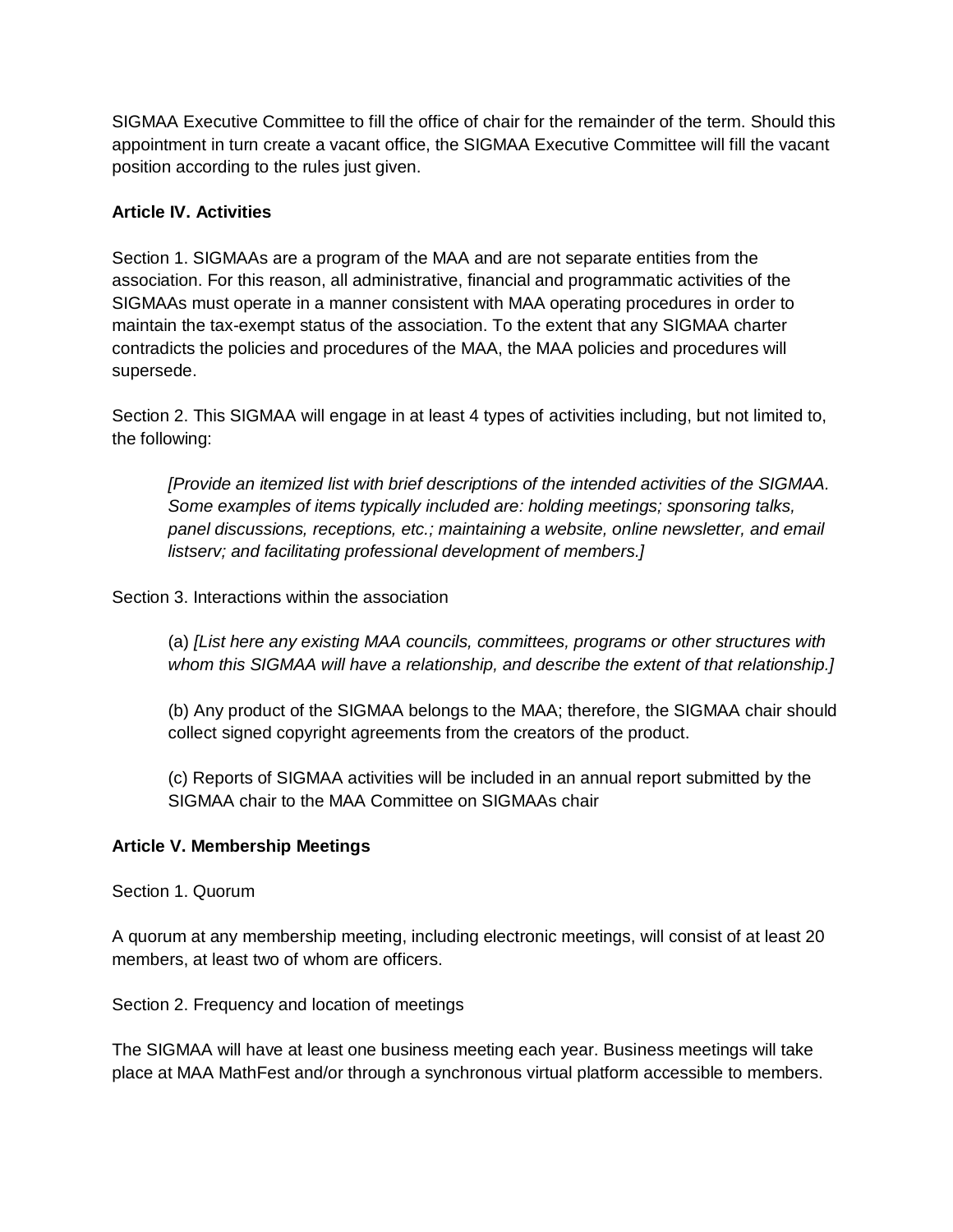SIGMAA Executive Committee to fill the office of chair for the remainder of the term. Should this appointment in turn create a vacant office, the SIGMAA Executive Committee will fill the vacant position according to the rules just given.

# **Article IV. Activities**

Section 1. SIGMAAs are a program of the MAA and are not separate entities from the association. For this reason, all administrative, financial and programmatic activities of the SIGMAAs must operate in a manner consistent with MAA operating procedures in order to maintain the tax-exempt status of the association. To the extent that any SIGMAA charter contradicts the policies and procedures of the MAA, the MAA policies and procedures will supersede.

Section 2. This SIGMAA will engage in at least 4 types of activities including, but not limited to, the following:

*[Provide an itemized list with brief descriptions of the intended activities of the SIGMAA. Some examples of items typically included are: holding meetings; sponsoring talks, panel discussions, receptions, etc.; maintaining a website, online newsletter, and email listserv; and facilitating professional development of members.]* 

Section 3. Interactions within the association

(a) *[List here any existing MAA councils, committees, programs or other structures with whom this SIGMAA will have a relationship, and describe the extent of that relationship.]* 

(b) Any product of the SIGMAA belongs to the MAA; therefore, the SIGMAA chair should collect signed copyright agreements from the creators of the product.

(c) Reports of SIGMAA activities will be included in an annual report submitted by the SIGMAA chair to the MAA Committee on SIGMAAs chair

# **Article V. Membership Meetings**

Section 1. Quorum

A quorum at any membership meeting, including electronic meetings, will consist of at least 20 members, at least two of whom are officers.

Section 2. Frequency and location of meetings

The SIGMAA will have at least one business meeting each year. Business meetings will take place at MAA MathFest and/or through a synchronous virtual platform accessible to members.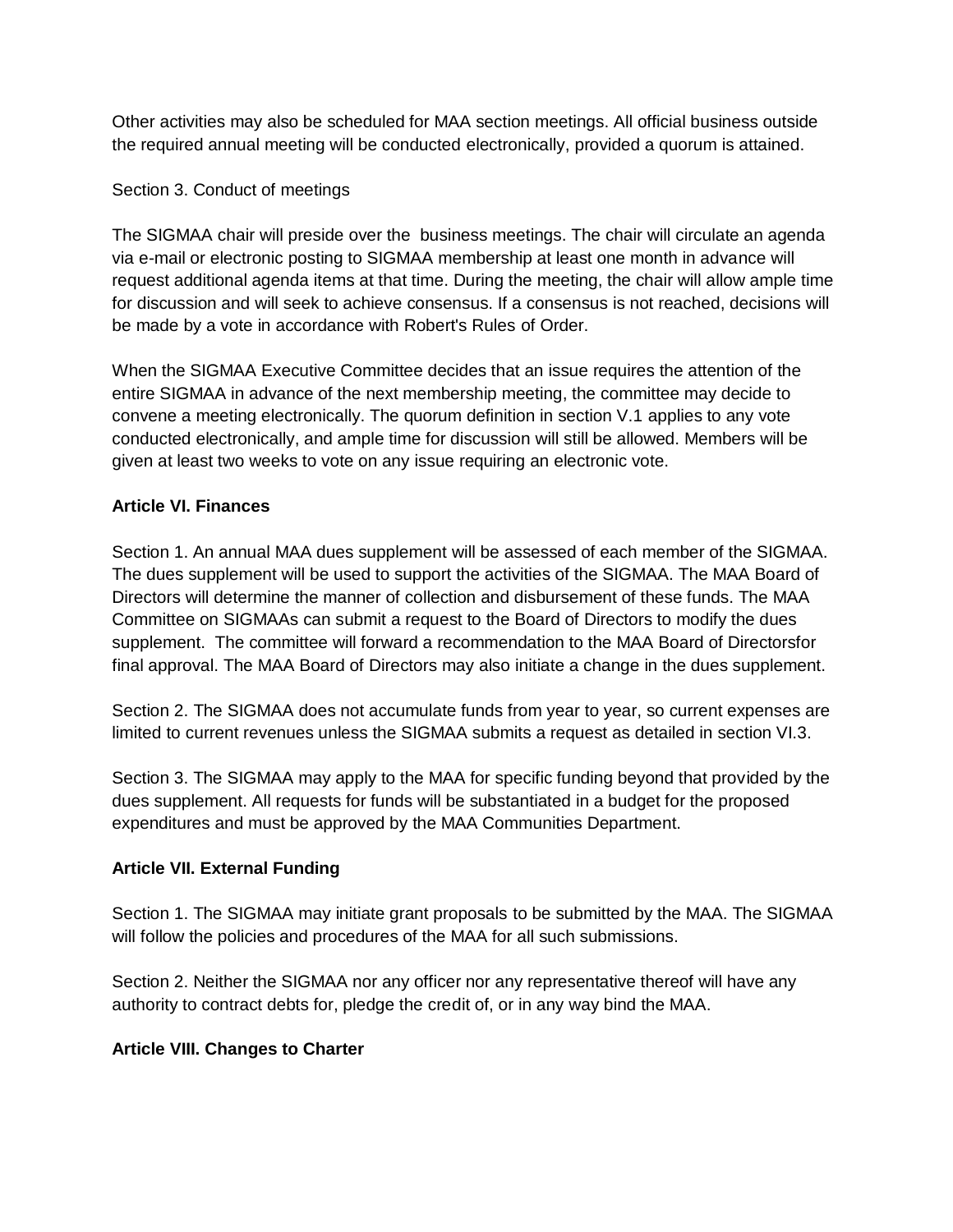Other activities may also be scheduled for MAA section meetings. All official business outside the required annual meeting will be conducted electronically, provided a quorum is attained.

# Section 3. Conduct of meetings

The SIGMAA chair will preside over the business meetings. The chair will circulate an agenda via e-mail or electronic posting to SIGMAA membership at least one month in advance will request additional agenda items at that time. During the meeting, the chair will allow ample time for discussion and will seek to achieve consensus. If a consensus is not reached, decisions will be made by a vote in accordance with Robert's Rules of Order.

When the SIGMAA Executive Committee decides that an issue requires the attention of the entire SIGMAA in advance of the next membership meeting, the committee may decide to convene a meeting electronically. The quorum definition in section V.1 applies to any vote conducted electronically, and ample time for discussion will still be allowed. Members will be given at least two weeks to vote on any issue requiring an electronic vote.

# **Article VI. Finances**

Section 1. An annual MAA dues supplement will be assessed of each member of the SIGMAA. The dues supplement will be used to support the activities of the SIGMAA. The MAA Board of Directors will determine the manner of collection and disbursement of these funds. The MAA Committee on SIGMAAs can submit a request to the Board of Directors to modify the dues supplement. The committee will forward a recommendation to the MAA Board of Directorsfor final approval. The MAA Board of Directors may also initiate a change in the dues supplement.

Section 2. The SIGMAA does not accumulate funds from year to year, so current expenses are limited to current revenues unless the SIGMAA submits a request as detailed in section VI.3.

Section 3. The SIGMAA may apply to the MAA for specific funding beyond that provided by the dues supplement. All requests for funds will be substantiated in a budget for the proposed expenditures and must be approved by the MAA Communities Department.

# **Article VII. External Funding**

Section 1. The SIGMAA may initiate grant proposals to be submitted by the MAA. The SIGMAA will follow the policies and procedures of the MAA for all such submissions.

Section 2. Neither the SIGMAA nor any officer nor any representative thereof will have any authority to contract debts for, pledge the credit of, or in any way bind the MAA.

# **Article VIII. Changes to Charter**